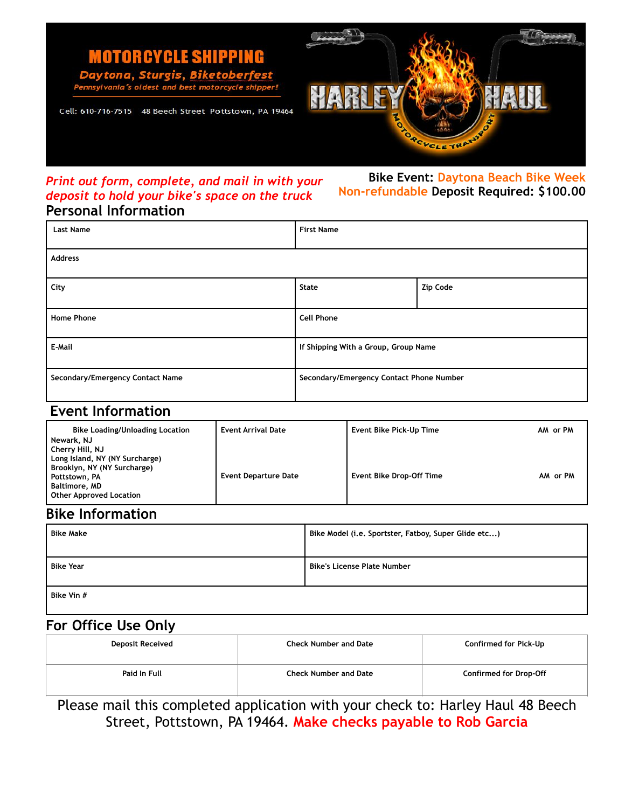

### *Print out form, complete, and mail in with your deposit to hold your bike's space on the truck* **Personal Information**

**Bike Event: Daytona Beach Bike Week Non-refundable Deposit Required: \$100.00** 

| 1 CLJVIIGL IIII VI IIIGCIVII     |                                          |          |  |  |
|----------------------------------|------------------------------------------|----------|--|--|
| <b>Last Name</b>                 | <b>First Name</b>                        |          |  |  |
| Address                          |                                          |          |  |  |
| City                             | State                                    | Zip Code |  |  |
| <b>Home Phone</b>                | <b>Cell Phone</b>                        |          |  |  |
| E-Mail                           | If Shipping With a Group, Group Name     |          |  |  |
| Secondary/Emergency Contact Name | Secondary/Emergency Contact Phone Number |          |  |  |

### **Event Information**

| <b>Bike Loading/Unloading Location</b>                                                                                                                                    | <b>Event Arrival Date</b>   | Event Bike Pick-Up Time         | AM or PM |
|---------------------------------------------------------------------------------------------------------------------------------------------------------------------------|-----------------------------|---------------------------------|----------|
| Newark, NJ<br>Cherry Hill, NJ<br>Long Island, NY (NY Surcharge)<br>Brooklyn, NY (NY Surcharge)<br>Pottstown, PA<br><b>Baltimore, MD</b><br><b>Other Approved Location</b> | <b>Event Departure Date</b> | <b>Event Bike Drop-Off Time</b> | AM or PM |

# **Bike Information**

| <b>Bike Make</b> | Bike Model (i.e. Sportster, Fatboy, Super Glide etc) |  |
|------------------|------------------------------------------------------|--|
| <b>Bike Year</b> | <b>Bike's License Plate Number</b>                   |  |
| Bike Vin #       |                                                      |  |

### **For Office Use Only**

| <b>Deposit Received</b> | <b>Check Number and Date</b> | Confirmed for Pick-Up         |
|-------------------------|------------------------------|-------------------------------|
| Paid In Full            | <b>Check Number and Date</b> | <b>Confirmed for Drop-Off</b> |

Please mail this completed application with your check to: Harley Haul 48 Beech Street, Pottstown, PA 19464. **Make checks payable to Rob Garcia**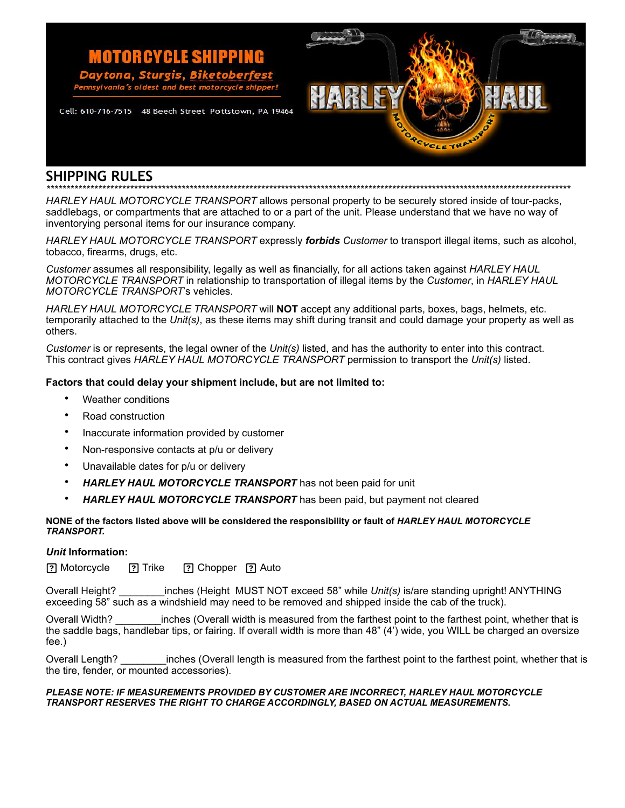

## **SHIPPING RULES**

*\*\*\*\*\*\*\*\*\*\*\*\*\*\*\*\*\*\*\*\*\*\*\*\*\*\*\*\*\*\*\*\*\*\*\*\*\*\*\*\*\*\*\*\*\*\*\*\*\*\*\*\*\*\*\*\*\*\*\*\*\*\*\*\*\*\*\*\*\*\*\*\*\*\*\*\*\*\*\*\*\*\*\*\*\*\*\*\*\*\*\*\*\*\*\*\*\*\*\*\*\*\*\*\*\*\*\*\*\*\*\*\*\*\*\*\*\*\*\*\*\*\*\*\*\*\*\*\*\*\*\*\** 

*HARLEY HAUL MOTORCYCLE TRANSPORT* allows personal property to be securely stored inside of tour-packs, saddlebags, or compartments that are attached to or a part of the unit. Please understand that we have no way of inventorying personal items for our insurance company.

*HARLEY HAUL MOTORCYCLE TRANSPORT* expressly *forbids Customer* to transport illegal items, such as alcohol, tobacco, firearms, drugs, etc.

*Customer* assumes all responsibility, legally as well as financially, for all actions taken against *HARLEY HAUL MOTORCYCLE TRANSPORT* in relationship to transportation of illegal items by the *Customer*, in *HARLEY HAUL MOTORCYCLE TRANSPORT*'s vehicles.

*HARLEY HAUL MOTORCYCLE TRANSPORT* will **NOT** accept any additional parts, boxes, bags, helmets, etc. temporarily attached to the *Unit(s)*, as these items may shift during transit and could damage your property as well as others.

*Customer* is or represents, the legal owner of the *Unit(s)* listed, and has the authority to enter into this contract. This contract gives *HARLEY HAUL MOTORCYCLE TRANSPORT* permission to transport the *Unit(s)* listed.

### **Factors that could delay your shipment include, but are not limited to:**

- Weather conditions
- Road construction
- Inaccurate information provided by customer

**MOTORCYCLE SHIPPING** 

best motorcycle sl

- Non-responsive contacts at p/u or delivery
- Unavailable dates for p/u or delivery
- *HARLEY HAUL MOTORCYCLE TRANSPORT* has not been paid for unit
- *HARLEY HAUL MOTORCYCLE TRANSPORT* has been paid, but payment not cleared

#### **NONE of the factors listed above will be considered the responsibility or fault of** *HARLEY HAUL MOTORCYCLE TRANSPORT.*

#### *Unit* **Information:**

**P** Motorcycle **P** Trike **P** Chopper **P** Auto

Overall Height? \_\_\_\_\_\_\_\_inches (Height MUST NOT exceed 58" while *Unit(s)* is/are standing upright! ANYTHING exceeding 58" such as a windshield may need to be removed and shipped inside the cab of the truck).

Overall Width? \_\_\_\_\_\_\_\_inches (Overall width is measured from the farthest point to the farthest point, whether that is the saddle bags, handlebar tips, or fairing. If overall width is more than 48" (4') wide, you WILL be charged an oversize fee.)

Overall Length? \_\_\_\_\_\_\_\_inches (Overall length is measured from the farthest point to the farthest point, whether that is the tire, fender, or mounted accessories).

#### *PLEASE NOTE: IF MEASUREMENTS PROVIDED BY CUSTOMER ARE INCORRECT, HARLEY HAUL MOTORCYCLE TRANSPORT RESERVES THE RIGHT TO CHARGE ACCORDINGLY, BASED ON ACTUAL MEASUREMENTS.*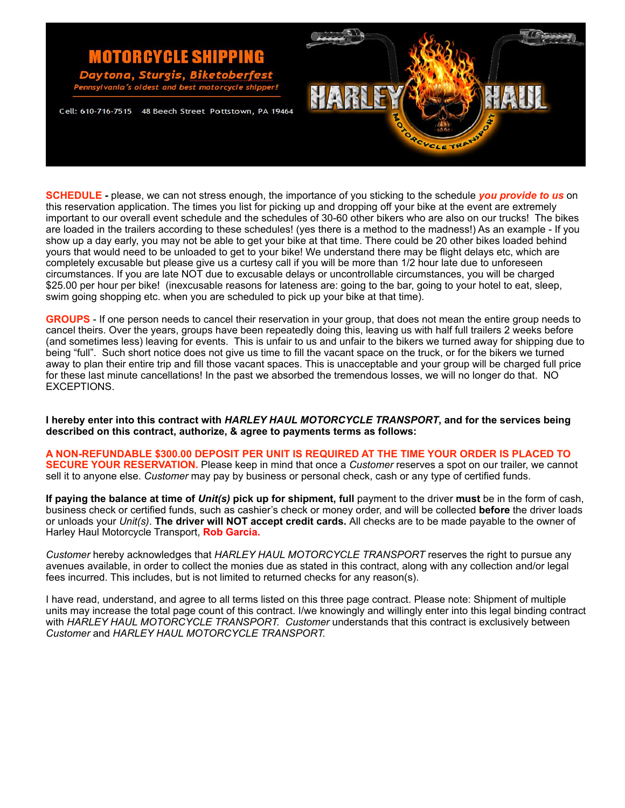

**SCHEDULE** *-* please, we can not stress enough, the importance of you sticking to the schedule *you provide to us* on this reservation application. The times you list for picking up and dropping off your bike at the event are extremely important to our overall event schedule and the schedules of 30-60 other bikers who are also on our trucks! The bikes are loaded in the trailers according to these schedules! (yes there is a method to the madness!) As an example - If you show up a day early, you may not be able to get your bike at that time. There could be 20 other bikes loaded behind yours that would need to be unloaded to get to your bike! We understand there may be flight delays etc, which are completely excusable but please give us a curtesy call if you will be more than 1/2 hour late due to unforeseen circumstances. If you are late NOT due to excusable delays or uncontrollable circumstances, you will be charged \$25.00 per hour per bike! (inexcusable reasons for lateness are: going to the bar, going to your hotel to eat, sleep, swim going shopping etc. when you are scheduled to pick up your bike at that time).

**GROUPS** - If one person needs to cancel their reservation in your group, that does not mean the entire group needs to cancel theirs. Over the years, groups have been repeatedly doing this, leaving us with half full trailers 2 weeks before (and sometimes less) leaving for events. This is unfair to us and unfair to the bikers we turned away for shipping due to being "full". Such short notice does not give us time to fill the vacant space on the truck, or for the bikers we turned away to plan their entire trip and fill those vacant spaces. This is unacceptable and your group will be charged full price for these last minute cancellations! In the past we absorbed the tremendous losses, we will no longer do that. NO EXCEPTIONS.

**I hereby enter into this contract with** *HARLEY HAUL MOTORCYCLE TRANSPORT***, and for the services being described on this contract, authorize, & agree to payments terms as follows:** 

**A NON-REFUNDABLE \$300.00 DEPOSIT PER UNIT IS REQUIRED AT THE TIME YOUR ORDER IS PLACED TO SECURE YOUR RESERVATION.** Please keep in mind that once a *Customer* reserves a spot on our trailer, we cannot sell it to anyone else. *Customer* may pay by business or personal check, cash or any type of certified funds.

**If paying the balance at time of** *Unit(s)* **pick up for shipment, full** payment to the driver **must** be in the form of cash, business check or certified funds, such as cashier's check or money order, and will be collected **before** the driver loads or unloads your *Unit(s)*. **The driver will NOT accept credit cards.** All checks are to be made payable to the owner of Harley Haul Motorcycle Transport, **Rob Garcia.** 

*Customer* hereby acknowledges that *HARLEY HAUL MOTORCYCLE TRANSPORT* reserves the right to pursue any avenues available, in order to collect the monies due as stated in this contract, along with any collection and/or legal fees incurred. This includes, but is not limited to returned checks for any reason(s).

I have read, understand, and agree to all terms listed on this three page contract. Please note: Shipment of multiple units may increase the total page count of this contract. I/we knowingly and willingly enter into this legal binding contract with *HARLEY HAUL MOTORCYCLE TRANSPORT. Customer* understands that this contract is exclusively between *Customer* and *HARLEY HAUL MOTORCYCLE TRANSPORT.*